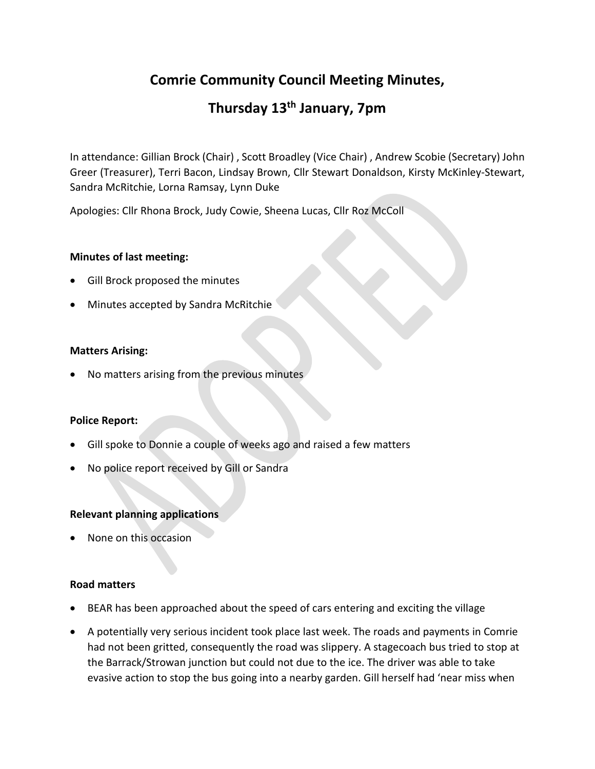# **Comrie Community Council Meeting Minutes,**

# **Thursday 13th January, 7pm**

In attendance: Gillian Brock (Chair) , Scott Broadley (Vice Chair) , Andrew Scobie (Secretary) John Greer (Treasurer), Terri Bacon, Lindsay Brown, Cllr Stewart Donaldson, Kirsty McKinley-Stewart, Sandra McRitchie, Lorna Ramsay, Lynn Duke

Apologies: Cllr Rhona Brock, Judy Cowie, Sheena Lucas, Cllr Roz McColl

# **Minutes of last meeting:**

- Gill Brock proposed the minutes
- Minutes accepted by Sandra McRitchie

# **Matters Arising:**

• No matters arising from the previous minutes

# **Police Report:**

- Gill spoke to Donnie a couple of weeks ago and raised a few matters
- No police report received by Gill or Sandra

# **Relevant planning applications**

• None on this occasion

# **Road matters**

- BEAR has been approached about the speed of cars entering and exciting the village
- A potentially very serious incident took place last week. The roads and payments in Comrie had not been gritted, consequently the road was slippery. A stagecoach bus tried to stop at the Barrack/Strowan junction but could not due to the ice. The driver was able to take evasive action to stop the bus going into a nearby garden. Gill herself had 'near miss when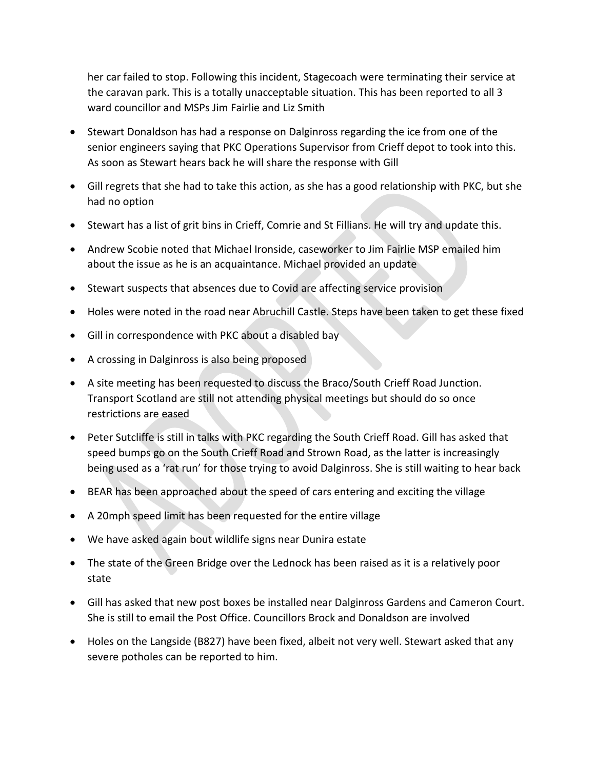her car failed to stop. Following this incident, Stagecoach were terminating their service at the caravan park. This is a totally unacceptable situation. This has been reported to all 3 ward councillor and MSPs Jim Fairlie and Liz Smith

- Stewart Donaldson has had a response on Dalginross regarding the ice from one of the senior engineers saying that PKC Operations Supervisor from Crieff depot to took into this. As soon as Stewart hears back he will share the response with Gill
- Gill regrets that she had to take this action, as she has a good relationship with PKC, but she had no option
- Stewart has a list of grit bins in Crieff, Comrie and St Fillians. He will try and update this.
- Andrew Scobie noted that Michael Ironside, caseworker to Jim Fairlie MSP emailed him about the issue as he is an acquaintance. Michael provided an update
- Stewart suspects that absences due to Covid are affecting service provision
- Holes were noted in the road near Abruchill Castle. Steps have been taken to get these fixed
- Gill in correspondence with PKC about a disabled bay
- A crossing in Dalginross is also being proposed
- A site meeting has been requested to discuss the Braco/South Crieff Road Junction. Transport Scotland are still not attending physical meetings but should do so once restrictions are eased
- Peter Sutcliffe is still in talks with PKC regarding the South Crieff Road. Gill has asked that speed bumps go on the South Crieff Road and Strown Road, as the latter is increasingly being used as a 'rat run' for those trying to avoid Dalginross. She is still waiting to hear back
- BEAR has been approached about the speed of cars entering and exciting the village
- A 20mph speed limit has been requested for the entire village
- We have asked again bout wildlife signs near Dunira estate
- The state of the Green Bridge over the Lednock has been raised as it is a relatively poor state
- Gill has asked that new post boxes be installed near Dalginross Gardens and Cameron Court. She is still to email the Post Office. Councillors Brock and Donaldson are involved
- Holes on the Langside (B827) have been fixed, albeit not very well. Stewart asked that any severe potholes can be reported to him.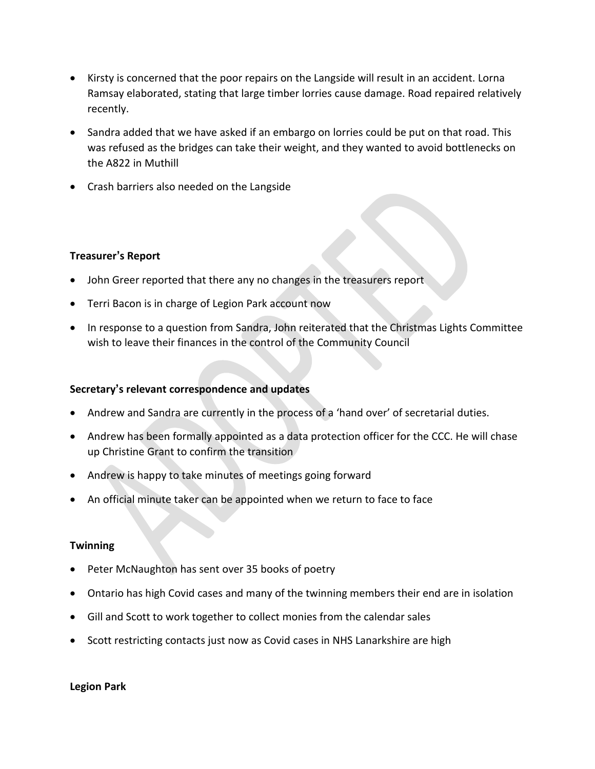- Kirsty is concerned that the poor repairs on the Langside will result in an accident. Lorna Ramsay elaborated, stating that large timber lorries cause damage. Road repaired relatively recently.
- Sandra added that we have asked if an embargo on lorries could be put on that road. This was refused as the bridges can take their weight, and they wanted to avoid bottlenecks on the A822 in Muthill
- Crash barriers also needed on the Langside

# **Treasurer's Report**

- John Greer reported that there any no changes in the treasurers report
- Terri Bacon is in charge of Legion Park account now
- In response to a question from Sandra, John reiterated that the Christmas Lights Committee wish to leave their finances in the control of the Community Council

### **Secretary's relevant correspondence and updates**

- Andrew and Sandra are currently in the process of a 'hand over' of secretarial duties.
- Andrew has been formally appointed as a data protection officer for the CCC. He will chase up Christine Grant to confirm the transition
- Andrew is happy to take minutes of meetings going forward
- An official minute taker can be appointed when we return to face to face

#### **Twinning**

- Peter McNaughton has sent over 35 books of poetry
- Ontario has high Covid cases and many of the twinning members their end are in isolation
- Gill and Scott to work together to collect monies from the calendar sales
- Scott restricting contacts just now as Covid cases in NHS Lanarkshire are high

#### **Legion Park**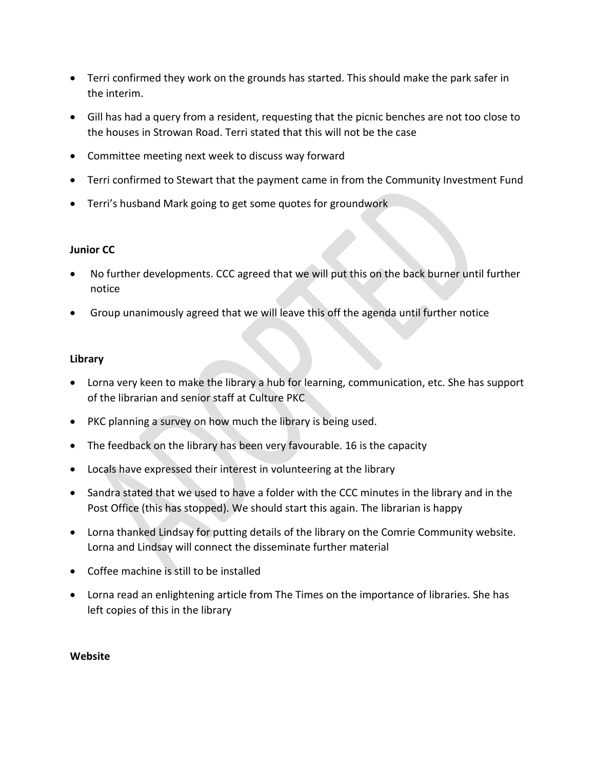- Terri confirmed they work on the grounds has started. This should make the park safer in the interim.
- Gill has had a query from a resident, requesting that the picnic benches are not too close to the houses in Strowan Road. Terri stated that this will not be the case
- Committee meeting next week to discuss way forward
- Terri confirmed to Stewart that the payment came in from the Community Investment Fund
- Terri's husband Mark going to get some quotes for groundwork

# **Junior CC**

- No further developments. CCC agreed that we will put this on the back burner until further notice
- Group unanimously agreed that we will leave this off the agenda until further notice

# **Library**

- Lorna very keen to make the library a hub for learning, communication, etc. She has support of the librarian and senior staff at Culture PKC
- PKC planning a survey on how much the library is being used.
- The feedback on the library has been very favourable. 16 is the capacity
- Locals have expressed their interest in volunteering at the library
- Sandra stated that we used to have a folder with the CCC minutes in the library and in the Post Office (this has stopped). We should start this again. The librarian is happy
- Lorna thanked Lindsay for putting details of the library on the Comrie Community website. Lorna and Lindsay will connect the disseminate further material
- Coffee machine is still to be installed
- Lorna read an enlightening article from The Times on the importance of libraries. She has left copies of this in the library

# **Website**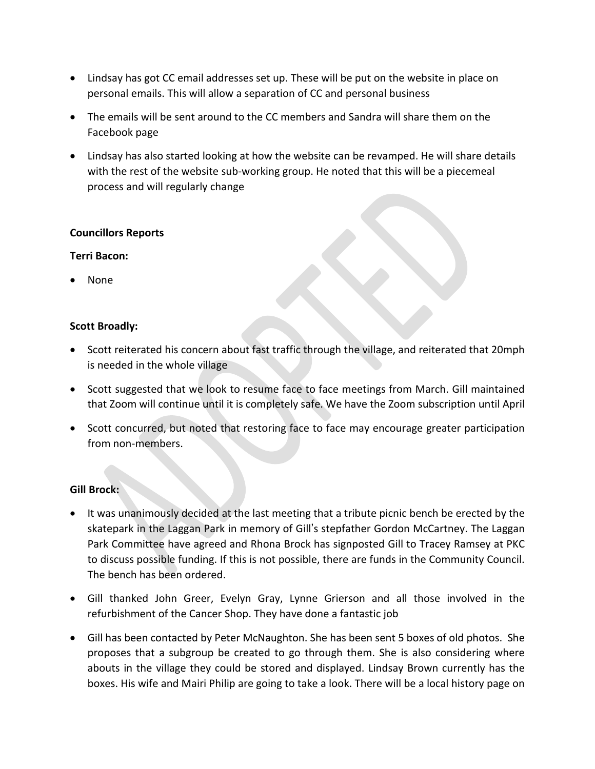- Lindsay has got CC email addresses set up. These will be put on the website in place on personal emails. This will allow a separation of CC and personal business
- The emails will be sent around to the CC members and Sandra will share them on the Facebook page
- Lindsay has also started looking at how the website can be revamped. He will share details with the rest of the website sub-working group. He noted that this will be a piecemeal process and will regularly change

# **Councillors Reports**

# **Terri Bacon:**

• None

# **Scott Broadly:**

- Scott reiterated his concern about fast traffic through the village, and reiterated that 20mph is needed in the whole village
- Scott suggested that we look to resume face to face meetings from March. Gill maintained that Zoom will continue until it is completely safe. We have the Zoom subscription until April
- Scott concurred, but noted that restoring face to face may encourage greater participation from non-members.

# **Gill Brock:**

- It was unanimously decided at the last meeting that a tribute picnic bench be erected by the skatepark in the Laggan Park in memory of Gill's stepfather Gordon McCartney. The Laggan Park Committee have agreed and Rhona Brock has signposted Gill to Tracey Ramsey at PKC to discuss possible funding. If this is not possible, there are funds in the Community Council. The bench has been ordered.
- Gill thanked John Greer, Evelyn Gray, Lynne Grierson and all those involved in the refurbishment of the Cancer Shop. They have done a fantastic job
- Gill has been contacted by Peter McNaughton. She has been sent 5 boxes of old photos. She proposes that a subgroup be created to go through them. She is also considering where abouts in the village they could be stored and displayed. Lindsay Brown currently has the boxes. His wife and Mairi Philip are going to take a look. There will be a local history page on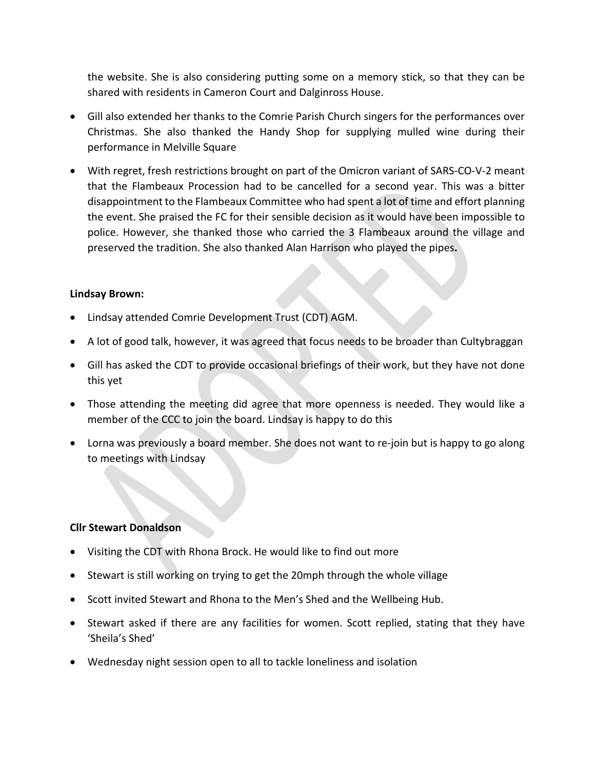the website. She is also considering putting some on a memory stick, so that they can be shared with residents in Cameron Court and Dalginross House.

- Gill also extended her thanks to the Comrie Parish Church singers for the performances over Christmas. She also thanked the Handy Shop for supplying mulled wine during their performance in Melville Square
- With regret, fresh restrictions brought on part of the Omicron variant of SARS-CO-V-2 meant that the Flambeaux Procession had to be cancelled for a second year. This was a bitter disappointment to the Flambeaux Committee who had spent a lot of time and effort planning the event. She praised the FC for their sensible decision as it would have been impossible to police. However, she thanked those who carried the 3 Flambeaux around the village and preserved the tradition. She also thanked Alan Harrison who played the pipes**.**

# **Lindsay Brown:**

- Lindsay attended Comrie Development Trust (CDT) AGM.
- A lot of good talk, however, it was agreed that focus needs to be broader than Cultybraggan
- Gill has asked the CDT to provide occasional briefings of their work, but they have not done this yet
- Those attending the meeting did agree that more openness is needed. They would like a member of the CCC to join the board. Lindsay is happy to do this
- Lorna was previously a board member. She does not want to re-join but is happy to go along to meetings with Lindsay

# **Cllr Stewart Donaldson**

- Visiting the CDT with Rhona Brock. He would like to find out more
- Stewart is still working on trying to get the 20mph through the whole village
- Scott invited Stewart and Rhona to the Men's Shed and the Wellbeing Hub.
- Stewart asked if there are any facilities for women. Scott replied, stating that they have 'Sheila's Shed'
- Wednesday night session open to all to tackle loneliness and isolation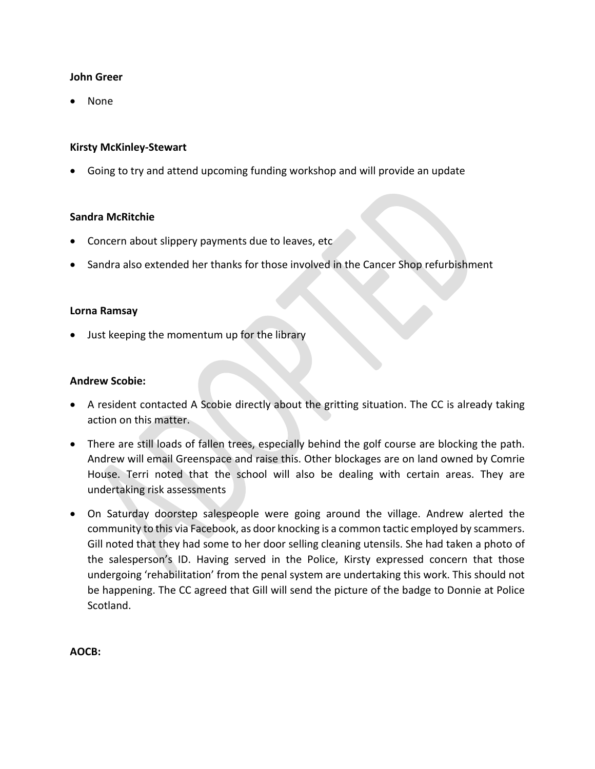### **John Greer**

• None

# **Kirsty McKinley-Stewart**

• Going to try and attend upcoming funding workshop and will provide an update

#### **Sandra McRitchie**

- Concern about slippery payments due to leaves, etc
- Sandra also extended her thanks for those involved in the Cancer Shop refurbishment

#### **Lorna Ramsay**

• Just keeping the momentum up for the library

### **Andrew Scobie:**

- A resident contacted A Scobie directly about the gritting situation. The CC is already taking action on this matter.
- There are still loads of fallen trees, especially behind the golf course are blocking the path. Andrew will email Greenspace and raise this. Other blockages are on land owned by Comrie House. Terri noted that the school will also be dealing with certain areas. They are undertaking risk assessments
- On Saturday doorstep salespeople were going around the village. Andrew alerted the community to this via Facebook, as door knocking is a common tactic employed by scammers. Gill noted that they had some to her door selling cleaning utensils. She had taken a photo of the salesperson's ID. Having served in the Police, Kirsty expressed concern that those undergoing 'rehabilitation' from the penal system are undertaking this work. This should not be happening. The CC agreed that Gill will send the picture of the badge to Donnie at Police Scotland.

**AOCB:**